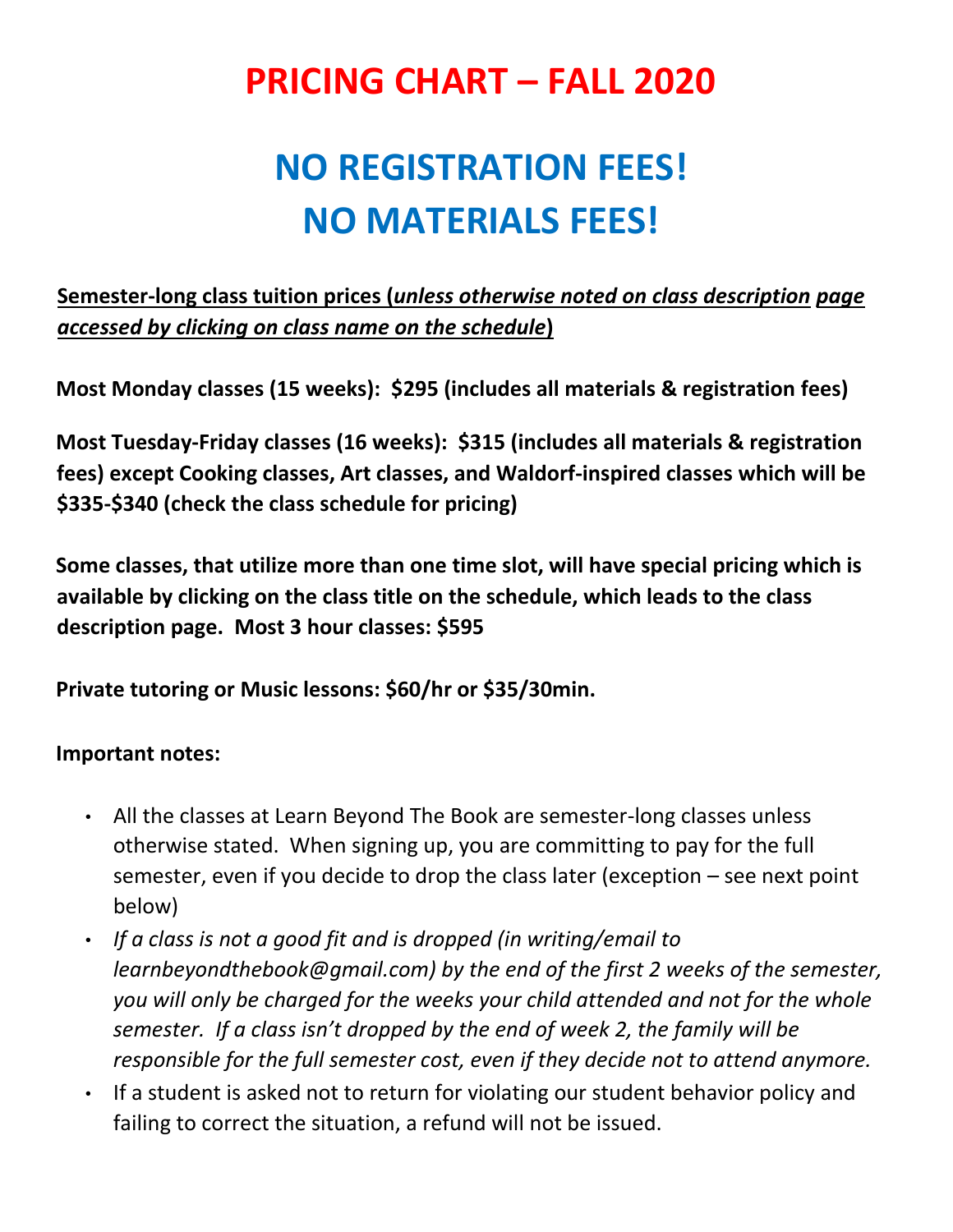## **PRICING CHART – FALL 2020**

## **NO REGISTRATION FEES! NO MATERIALS FEES!**

**Semester-long class tuition prices (***unless otherwise noted on class description page accessed by clicking on class name on the schedule***)**

**Most Monday classes (15 weeks): \$295 (includes all materials & registration fees)** 

**Most Tuesday-Friday classes (16 weeks): \$315 (includes all materials & registration fees) except Cooking classes, Art classes, and Waldorf-inspired classes which will be \$335-\$340 (check the class schedule for pricing)**

**Some classes, that utilize more than one time slot, will have special pricing which is available by clicking on the class title on the schedule, which leads to the class description page. Most 3 hour classes: \$595**

**Private tutoring or Music lessons: \$60/hr or \$35/30min.**

## **Important notes:**

- All the classes at Learn Beyond The Book are semester-long classes unless otherwise stated. When signing up, you are committing to pay for the full semester, even if you decide to drop the class later (exception – see next point below)
- *If a class is not a good fit and is dropped (in writing/email to learnbeyondthebook@gmail.com) by the end of the first 2 weeks of the semester, you will only be charged for the weeks your child attended and not for the whole semester. If a class isn't dropped by the end of week 2, the family will be responsible for the full semester cost, even if they decide not to attend anymore.*
- If a student is asked not to return for violating our student behavior policy and failing to correct the situation, a refund will not be issued.